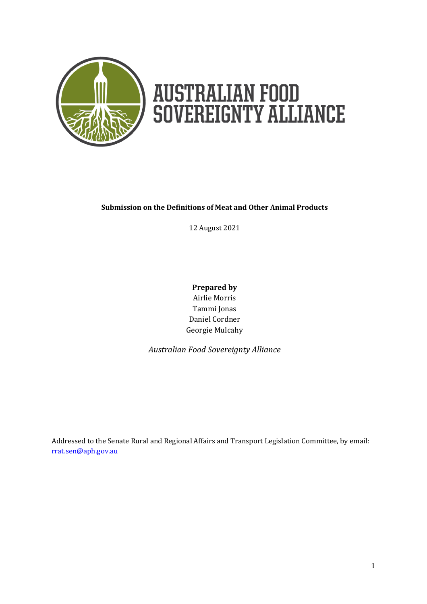

# **AUSTRALIAN FOOD<br>SOVEREIGNTY ALLIANCE**

#### **Submission on the Definitions of Meat and Other Animal Products**

12 August 2021

**Prepared by** Airlie Morris Tammi Jonas Daniel Cordner Georgie Mulcahy

*Australian Food Sovereignty Alliance*

Addressed to the Senate Rural and Regional Affairs and Transport Legislation Committee, by email: [rrat.sen@aph.gov.au](mailto:rrat.sen@aph.gov.au)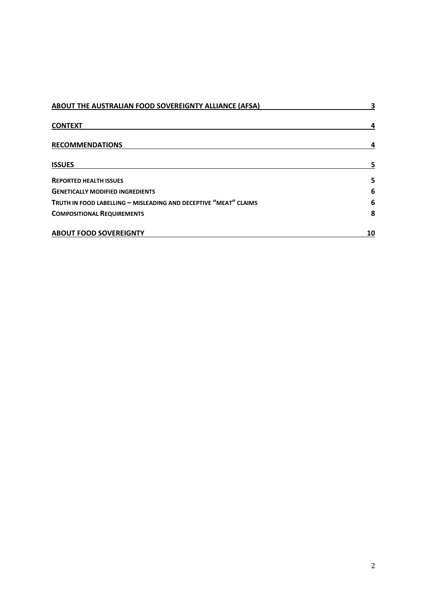| ABOUT THE AUSTRALIAN FOOD SOVEREIGNTY ALLIANCE (AFSA)            | 3  |
|------------------------------------------------------------------|----|
| <b>CONTEXT</b>                                                   | 4  |
| <b>RECOMMENDATIONS</b>                                           | 4  |
| <b>ISSUES</b>                                                    | 5  |
| <b>REPORTED HEALTH ISSUES</b>                                    | 5  |
| <b>GENETICALLY MODIFIED INGREDIENTS</b>                          | 6  |
| TRUTH IN FOOD LABELLING - MISLEADING AND DECEPTIVE "MEAT" CLAIMS | 6  |
| <b>COMPOSITIONAL REQUIREMENTS</b>                                | 8  |
| <b>ABOUT FOOD SOVEREIGNTY</b>                                    | 10 |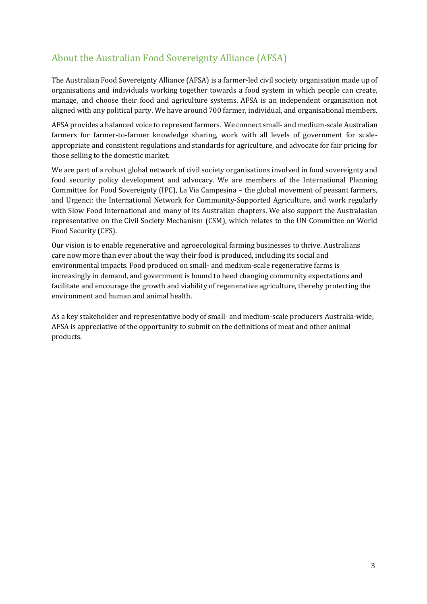# <span id="page-2-0"></span>About the Australian Food Sovereignty Alliance (AFSA)

The Australian Food Sovereignty Alliance (AFSA) is a farmer-led civil society organisation made up of organisations and individuals working together towards a food system in which people can create, manage, and choose their food and agriculture systems. AFSA is an independent organisation not aligned with any political party. We have around 700 farmer, individual, and organisational members.

AFSA provides a balanced voice to represent farmers. We connect small- and medium-scale Australian farmers for farmer-to-farmer knowledge sharing, work with all levels of government for scaleappropriate and consistent regulations and standards for agriculture, and advocate for fair pricing for those selling to the domestic market.

We are part of a robust global network of civil society organisations involved in food sovereignty and food security policy development and advocacy. We are members of the International Planning Committee for Food Sovereignty (IPC), La Via Campesina – the global movement of peasant farmers, and Urgenci: the International Network for Community-Supported Agriculture, and work regularly with Slow Food International and many of its Australian chapters. We also support the Australasian representative on the Civil Society Mechanism (CSM), which relates to the UN Committee on World Food Security (CFS).

Our vision is to enable regenerative and agroecological farming businesses to thrive. Australians care now more than ever about the way their food is produced, including its social and environmental impacts. Food produced on small- and medium-scale regenerative farms is increasingly in demand, and government is bound to heed changing community expectations and facilitate and encourage the growth and viability of regenerative agriculture, thereby protecting the environment and human and animal health.

As a key stakeholder and representative body of small- and medium-scale producers Australia-wide, AFSA is appreciative of the opportunity to submit on the definitions of meat and other animal products.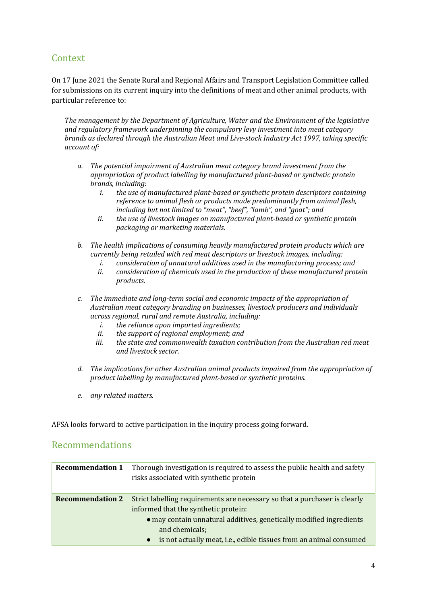## <span id="page-3-0"></span>Context

On 17 June 2021 the Senate Rural and Regional Affairs and Transport Legislation Committee called for submissions on its current inquiry into the definitions of meat and other animal products, with particular reference to:

*The management by the Department of Agriculture, Water and the Environment of the legislative and regulatory framework underpinning the compulsory levy investment into meat category brands as declared through the Australian Meat and Live-stock Industry Act 1997, taking specific account of:* 

- *a. The potential impairment of Australian meat category brand investment from the appropriation of product labelling by manufactured plant-based or synthetic protein brands, including:* 
	- *i. the use of manufactured plant-based or synthetic protein descriptors containing reference to animal flesh or products made predominantly from animal flesh, including but not limited to "meat", "beef", "lamb", and "goat"; and*
	- *ii. the use of livestock images on manufactured plant-based or synthetic protein packaging or marketing materials.*
- *b. The health implications of consuming heavily manufactured protein products which are currently being retailed with red meat descriptors or livestock images, including:* 
	- *i. consideration of unnatural additives used in the manufacturing process; and*
	- *ii. consideration of chemicals used in the production of these manufactured protein products.*
- *c. The immediate and long-term social and economic impacts of the appropriation of Australian meat category branding on businesses, livestock producers and individuals across regional, rural and remote Australia, including:* 
	- *i. the reliance upon imported ingredients;*
	- *ii. the support of regional employment; and*
	- *iii. the state and commonwealth taxation contribution from the Australian red meat and livestock sector.*
- *d. The implications for other Australian animal products impaired from the appropriation of product labelling by manufactured plant-based or synthetic proteins.*
- *e. any related matters.*

AFSA looks forward to active participation in the inquiry process going forward.

## <span id="page-3-1"></span>Recommendations

| <b>Recommendation 1</b> | Thorough investigation is required to assess the public health and safety<br>risks associated with synthetic protein                                                                                                                                                                           |
|-------------------------|------------------------------------------------------------------------------------------------------------------------------------------------------------------------------------------------------------------------------------------------------------------------------------------------|
| <b>Recommendation 2</b> | Strict labelling requirements are necessary so that a purchaser is clearly<br>informed that the synthetic protein:<br>• may contain unnatural additives, genetically modified ingredients<br>and chemicals;<br>is not actually meat, i.e., edible tissues from an animal consumed<br>$\bullet$ |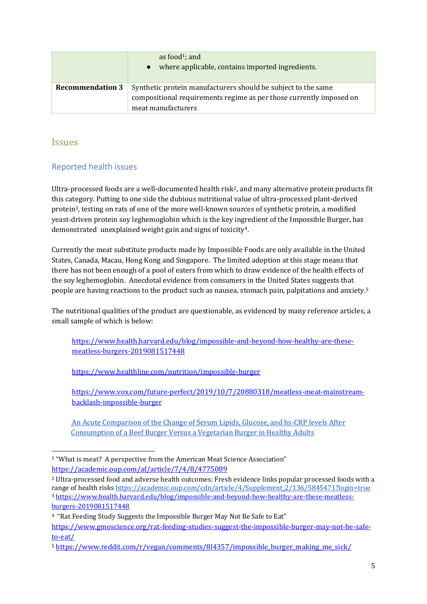|                         | as food <sup>1</sup> ; and<br>where applicable, contains imported ingredients.                                                                             |
|-------------------------|------------------------------------------------------------------------------------------------------------------------------------------------------------|
| <b>Recommendation 3</b> | Synthetic protein manufacturers should be subject to the same<br>compositional requirements regime as per those currently imposed on<br>meat manufacturers |

### <span id="page-4-0"></span>Issues

#### <span id="page-4-1"></span>Reported health issues

Ultra-processed foods are a well-documented health risk2, and many alternative protein products fit this category. Putting to one side the dubious nutritional value of ultra-processed plant-derived protein3, testing on rats of one of the more well-known sources of synthetic protein, a modified yeast-driven protein soy leghemoglobin which is the key ingredient of the Impossible Burger, has demonstrated unexplained weight gain and signs of toxicity4.

Currently the meat substitute products made by Impossible Foods are only available in the United States, Canada, Macau, Hong Kong and Singapore. The limited adoption at this stage means that there has not been enough of a pool of eaters from which to draw evidence of the health effects of the soy leghemoglobin. Anecdotal evidence from consumers in the United States suggests that people are having reactions to the product such as nausea, stomach pain, palpitations and anxiety.<sup>5</sup>

The nutritional qualities of the product are questionable, as evidenced by many reference articles, a small sample of which is below:

[https://www.health.harvard.edu/blog/impossible-and-beyond-how-healthy-are-these](https://www.health.harvard.edu/blog/impossible-and-beyond-how-healthy-are-these-meatless-burgers-2019081517448)[meatless-burgers-2019081517448](https://www.health.harvard.edu/blog/impossible-and-beyond-how-healthy-are-these-meatless-burgers-2019081517448)

<https://www.healthline.com/nutrition/impossible-burger>

[https://www.vox.com/future-perfect/2019/10/7/20880318/meatless-meat-mainstream](https://www.vox.com/future-perfect/2019/10/7/20880318/meatless-meat-mainstream-backlash-impossible-burger)[backlash-impossible-burger](https://www.vox.com/future-perfect/2019/10/7/20880318/meatless-meat-mainstream-backlash-impossible-burger)

[An Acute Comparison of the Change of Serum Lipids, Glucose, and hs-CRP levels After](https://academic.oup.com/cdn/article/4/Supplement_2/136/5845471?login=true)  [Consumption of a Beef Burger Versus a Vegetarian Burger in Healthy Adults](https://academic.oup.com/cdn/article/4/Supplement_2/136/5845471?login=true)

<sup>1</sup> "What is meat? A perspective from the American Meat Science Association" <https://academic.oup.com/af/article/7/4/8/4775089>

<sup>2</sup> Ultra-processed food and adverse health outcomes: Fresh evidence links popular processed foods with a range of health risks [https://academic.oup.com/cdn/article/4/Supplement\\_2/136/5845471?login=true](https://academic.oup.com/cdn/article/4/Supplement_2/136/5845471?login=true) <sup>3</sup> [https://www.health.harvard.edu/blog/impossible-and-beyond-how-healthy-are-these-meatless](https://www.health.harvard.edu/blog/impossible-and-beyond-how-healthy-are-these-meatless-burgers-2019081517448)[burgers-2019081517448](https://www.health.harvard.edu/blog/impossible-and-beyond-how-healthy-are-these-meatless-burgers-2019081517448)

<sup>4</sup> "Rat Feeding Study Suggests the Impossible Burger May Not Be Safe to Eat"

[https://www.gmoscience.org/rat-feeding-studies-suggest-the-impossible-burger-may-not-be-safe](https://www.gmoscience.org/rat-feeding-studies-suggest-the-impossible-burger-may-not-be-safe-to-eat/)[to-eat/](https://www.gmoscience.org/rat-feeding-studies-suggest-the-impossible-burger-may-not-be-safe-to-eat/)

<sup>5</sup> [https://www.reddit.com/r/vegan/comments/8l4357/impossible\\_burger\\_making\\_me\\_sick/](https://www.reddit.com/r/vegan/comments/8l4357/impossible_burger_making_me_sick/)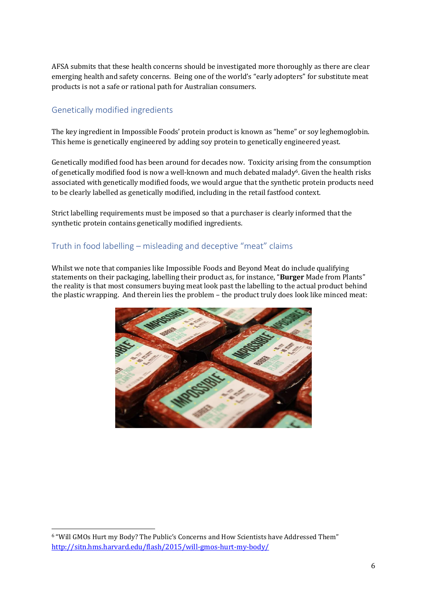AFSA submits that these health concerns should be investigated more thoroughly as there are clear emerging health and safety concerns. Being one of the world's "early adopters" for substitute meat products is not a safe or rational path for Australian consumers.

#### <span id="page-5-0"></span>Genetically modified ingredients

The key ingredient in Impossible Foods' protein product is known as "heme" or soy leghemoglobin. This heme is genetically engineered by adding soy protein to genetically engineered yeast.

Genetically modified food has been around for decades now. Toxicity arising from the consumption of genetically modified food is now a well-known and much debated malady<sup>6</sup>. Given the health risks associated with genetically modified foods, we would argue that the synthetic protein products need to be clearly labelled as genetically modified, including in the retail fastfood context.

Strict labelling requirements must be imposed so that a purchaser is clearly informed that the synthetic protein contains genetically modified ingredients.

#### <span id="page-5-1"></span>Truth in food labelling – misleading and deceptive "meat" claims

Whilst we note that companies like Impossible Foods and Beyond Meat do include qualifying statements on their packaging, labelling their product as, for instance, "**Burger** Made from Plants" the reality is that most consumers buying meat look past the labelling to the actual product behind the plastic wrapping. And therein lies the problem – the product truly does look like minced meat:



<sup>6</sup> "Will GMOs Hurt my Body? The Public's Concerns and How Scientists have Addressed Them" <http://sitn.hms.harvard.edu/flash/2015/will-gmos-hurt-my-body/>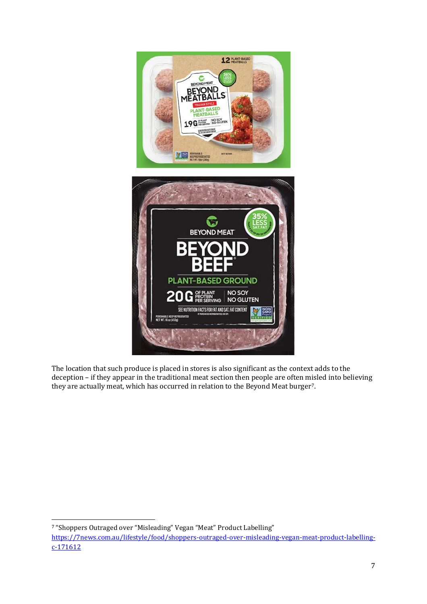

The location that such produce is placed in stores is also significant as the context adds to the deception – if they appear in the traditional meat section then people are often misled into believing they are actually meat, which has occurred in relation to the Beyond Meat burger7.

<sup>7</sup> "Shoppers Outraged over "Misleading" Vegan "Meat" Product Labelling"

[https://7news.com.au/lifestyle/food/shoppers-outraged-over-misleading-vegan-meat-product-labelling](https://7news.com.au/lifestyle/food/shoppers-outraged-over-misleading-vegan-meat-product-labelling-c-171612)[c-171612](https://7news.com.au/lifestyle/food/shoppers-outraged-over-misleading-vegan-meat-product-labelling-c-171612)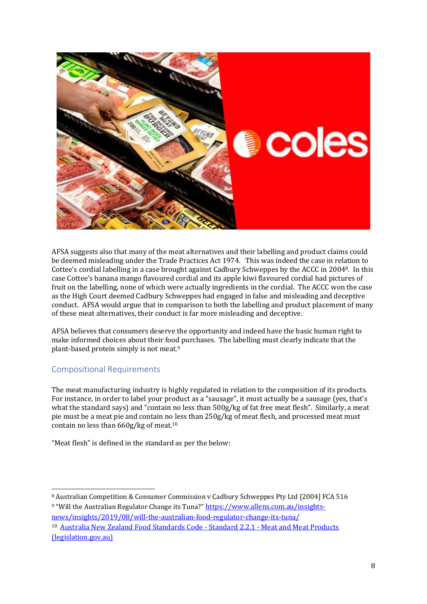

AFSA suggests also that many of the meat alternatives and their labelling and product claims could be deemed misleading under the Trade Practices Act 1974. This was indeed the case in relation to Cottee's cordial labelling in a case brought against Cadbury Schweppes by the ACCC in 20048. In this case Cottee's banana mango flavoured cordial and its apple kiwi flavoured cordial had pictures of fruit on the labelling, none of which were actually ingredients in the cordial. The ACCC won the case as the High Court deemed Cadbury Schweppes had engaged in false and misleading and deceptive conduct. AFSA would argue that in comparison to both the labelling and product placement of many of these meat alternatives, their conduct is far more misleading and deceptive.

AFSA believes that consumers deserve the opportunity and indeed have the basic human right to make informed choices about their food purchases. The labelling must clearly indicate that the plant-based protein simply is not meat.<sup>9</sup>

#### <span id="page-7-0"></span>Compositional Requirements

The meat manufacturing industry is highly regulated in relation to the composition of its products. For instance, in order to label your product as a "sausage", it must actually be a sausage (yes, that's what the standard says) and "contain no less than 500g/kg of fat free meat flesh". Similarly, a meat pie must be a meat pie and contain no less than 250g/kg of meat flesh, and processed meat must contain no less than 660g/kg of meat.<sup>10</sup>

"Meat flesh" is defined in the standard as per the below:

[news/insights/2019/08/will-the-australian-food-regulator-change-its-tuna/](https://www.allens.com.au/insights-news/insights/2019/08/will-the-australian-food-regulator-change-its-tuna/) <sup>10</sup> [Australia New Zealand Food Standards Code -](https://www.legislation.gov.au/Details/F2012C00286) Standard 2.2.1 - Meat and Meat Products [\(legislation.gov.au\)](https://www.legislation.gov.au/Details/F2012C00286)

<sup>8</sup> Australian Competition & Consumer Commission v Cadbury Schweppes Pty Ltd [\[2004\] FCA 516](http://www.austlii.edu.au/cgi-bin/viewdoc/au/cases/cth/FCA/2004/516.html) <sup>9</sup> "Will the Australian Regulator Change its Tuna?" [https://www.allens.com.au/insights-](https://www.allens.com.au/insights-news/insights/2019/08/will-the-australian-food-regulator-change-its-tuna/)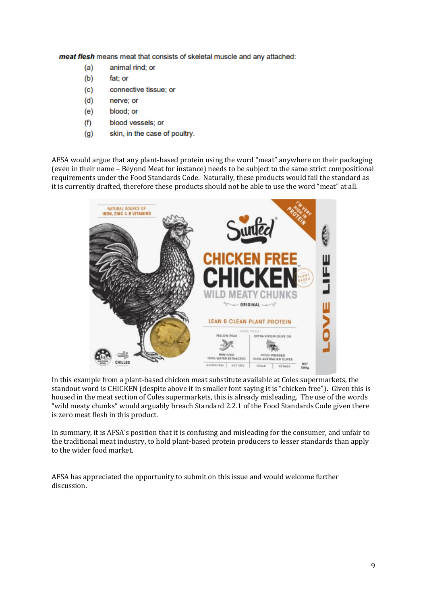meat flesh means meat that consists of skeletal muscle and any attached:

- $(a)$ animal rind; or
- $(b)$ fat; or
- $(c)$ connective tissue; or
- $(d)$ nerve; or
- (e) blood; or
- blood vessels; or  $(f)$
- $(g)$ skin, in the case of poultry.

AFSA would argue that any plant-based protein using the word "meat" anywhere on their packaging (even in their name – Beyond Meat for instance) needs to be subject to the same strict compositional requirements under the Food Standards Code. Naturally, these products would fail the standard as it is currently drafted, therefore these products should not be able to use the word "meat" at all.



In this example from a plant-based chicken meat substitute available at Coles supermarkets, the standout word is CHICKEN (despite above it in smaller font saying it is "chicken free"). Given this is housed in the meat section of Coles supermarkets, this is already misleading. The use of the words "wild meaty chunks" would arguably breach Standard 2.2.1 of the Food Standards Code given there is zero meat flesh in this product.

In summary, it is AFSA's position that it is confusing and misleading for the consumer, and unfair to the traditional meat industry, to hold plant-based protein producers to lesser standards than apply to the wider food market.

AFSA has appreciated the opportunity to submit on this issue and would welcome further discussion.